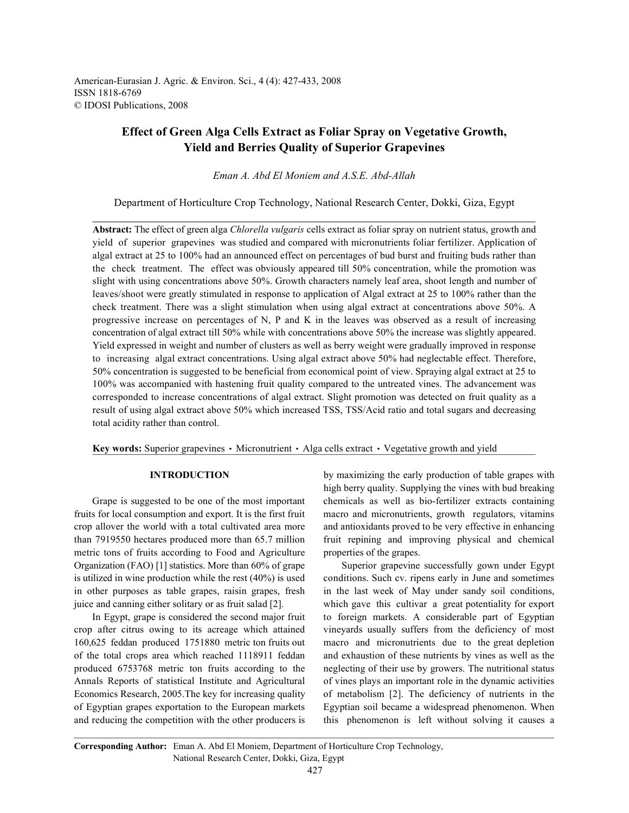American-Eurasian J. Agric. & Environ. Sci., 4 (4): 427-433, 2008 ISSN 1818-6769 © IDOSI Publications, 2008

# **Effect of Green Alga Cells Extract as Foliar Spray on Vegetative Growth, Yield and Berries Quality of Superior Grapevines**

*Eman A. Abd El Moniem and A.S.E. Abd-Allah*

Department of Horticulture Crop Technology, National Research Center, Dokki, Giza, Egypt

**Abstract:** The effect of green alga *Chlorella vulgaris* cells extract as foliar spray on nutrient status, growth and yield of superior grapevines was studied and compared with micronutrients foliar fertilizer. Application of algal extract at 25 to 100% had an announced effect on percentages of bud burst and fruiting buds rather than the check treatment. The effect was obviously appeared till 50% concentration, while the promotion was slight with using concentrations above 50%. Growth characters namely leaf area, shoot length and number of leaves/shoot were greatly stimulated in response to application of Algal extract at 25 to 100% rather than the check treatment. There was a slight stimulation when using algal extract at concentrations above 50%. A progressive increase on percentages of N, P and K in the leaves was observed as a result of increasing concentration of algal extract till 50% while with concentrations above 50% the increase was slightly appeared. Yield expressed in weight and number of clusters as well as berry weight were gradually improved in response to increasing algal extract concentrations. Using algal extract above 50% had neglectable effect. Therefore, 50% concentration is suggested to be beneficial from economical point of view. Spraying algal extract at 25 to 100% was accompanied with hastening fruit quality compared to the untreated vines. The advancement was corresponded to increase concentrations of algal extract. Slight promotion was detected on fruit quality as a result of using algal extract above 50% which increased TSS, TSS/Acid ratio and total sugars and decreasing total acidity rather than control.

**Key words:** Superior grapevines  $\cdot$  Micronutrient  $\cdot$  Alga cells extract  $\cdot$  Vegetative growth and yield

fruits for local consumption and export. It is the first fruit macro and micronutrients, growth regulators, vitamins crop allover the world with a total cultivated area more and antioxidants proved to be very effective in enhancing than 7919550 hectares produced more than 65.7 million fruit repining and improving physical and chemical metric tons of fruits according to Food and Agriculture properties of the grapes. Organization (FAO) [1] statistics. More than 60% of grape Superior grapevine successfully gown under Egypt is utilized in wine production while the rest (40%) is used conditions. Such cv. ripens early in June and sometimes in other purposes as table grapes, raisin grapes, fresh in the last week of May under sandy soil conditions, juice and canning either solitary or as fruit salad [2]. which gave this cultivar a great potentiality for export

crop after citrus owing to its acreage which attained vineyards usually suffers from the deficiency of most 160,625 feddan produced 1751880 metric ton fruits out macro and micronutrients due to the great depletion of the total crops area which reached 1118911 feddan and exhaustion of these nutrients by vines as well as the produced 6753768 metric ton fruits according to the neglecting of their use by growers. The nutritional status Annals Reports of statistical Institute and Agricultural of vines plays an important role in the dynamic activities Economics Research, 2005.The key for increasing quality of metabolism [2]. The deficiency of nutrients in the of Egyptian grapes exportation to the European markets Egyptian soil became a widespread phenomenon. When and reducing the competition with the other producers is this phenomenon is left without solving it causes a

**INTRODUCTION** by maximizing the early production of table grapes with Grape is suggested to be one of the most important chemicals as well as bio-fertilizer extracts containing high berry quality. Supplying the vines with bud breaking

In Egypt, grape is considered the second major fruit to foreign markets. A considerable part of Egyptian

**Corresponding Author:** Eman A. Abd El Moniem, Department of Horticulture Crop Technology, National Research Center, Dokki, Giza, Egypt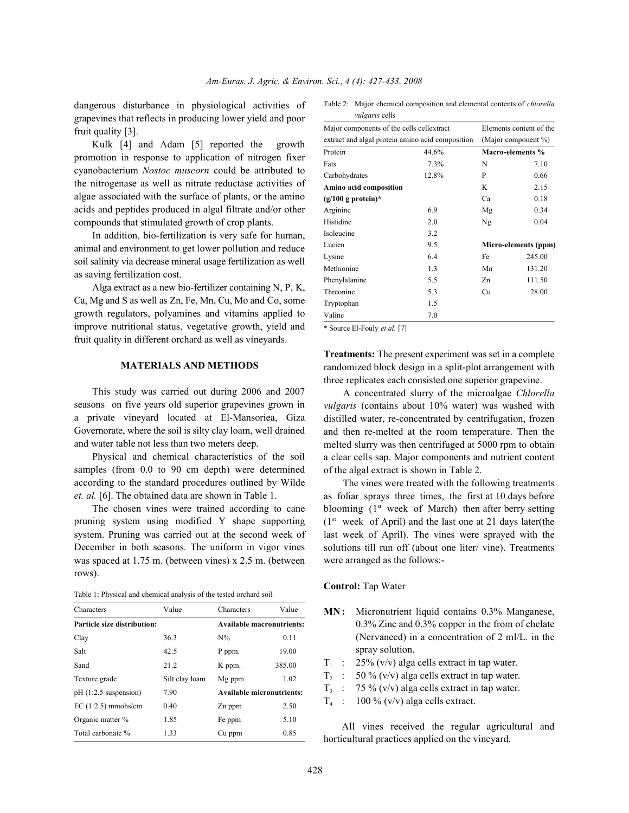dangerous disturbance in physiological activities of grapevines that reflects in producing lower yield and poor fruit quality [3].

Kulk [4] and Adam [5] reported the growth promotion in response to application of nitrogen fixer cyanobacterium *Nostoc muscorn* could be attributed to the nitrogenase as well as nitrate reductase activities of algae associated with the surface of plants, or the amino acids and peptides produced in algal filtrate and/or other compounds that stimulated growth of crop plants.

In addition, bio-fertilization is very safe for human, animal and environment to get lower pollution and reduce soil salinity via decrease mineral usage fertilization as well as saving fertilization cost.

Alga extract as a new bio-fertilizer containing N, P, K, Ca, Mg and S as well as Zn, Fe, Mn, Cu, Mo and Co, some growth regulators, polyamines and vitamins applied to improve nutritional status, vegetative growth, yield and fruit quality in different orchard as well as vineyards.

#### **MATERIALS AND METHODS**

This study was carried out during 2006 and 2007 seasons on five years old superior grapevines grown in a private vineyard located at El-Mansoriea, Giza Governorate, where the soil is silty clay loam, well drained and water table not less than two meters deep.

Physical and chemical characteristics of the soil samples (from 0.0 to 90 cm depth) were determined according to the standard procedures outlined by Wilde *et. al.* [6]. The obtained data are shown in Table 1.

The chosen vines were trained according to cane pruning system using modified Y shape supporting system. Pruning was carried out at the second week of December in both seasons. The uniform in vigor vines was spaced at 1.75 m. (between vines) x 2.5 m. (between rows).

| Table 1: Physical and chemical analysis of the tested orchard soil |
|--------------------------------------------------------------------|
|--------------------------------------------------------------------|

| Characters                  | Value          | Characters                       | Value  |  |  |
|-----------------------------|----------------|----------------------------------|--------|--|--|
| Particle size distribution: |                | <b>Available macronutrients:</b> |        |  |  |
| Clay                        | 36.3           | $N\%$                            | 0.11   |  |  |
| Salt                        | 42.5           | P ppm.                           | 19.00  |  |  |
| Sand                        | 21.2           | K ppm.                           | 385.00 |  |  |
| Texture grade               | Silt clay loam | Mg ppm                           | 1.02   |  |  |
| $pH(1:2.5$ suspension)      | 7.90           | <b>Available micronutrients:</b> |        |  |  |
| EC $(1:2.5)$ mmohs/cm       | 0.40           | Zn ppm                           | 2.50   |  |  |
| Organic matter %            | 1.85           | Fe ppm                           | 5.10   |  |  |
| Total carbonate %           | 1.33           | Cu ppm                           | 0.85   |  |  |

| Table 2: Major chemical composition and elemental contents of <i>chlorella</i> |
|--------------------------------------------------------------------------------|
| <i>vulgaris</i> cells                                                          |

| Major components of the cells cellextract        |                     | Elements content of the |                      |  |
|--------------------------------------------------|---------------------|-------------------------|----------------------|--|
| extract and algal protein amino acid composition | (Major component %) |                         |                      |  |
| Protein                                          | 44.6%               |                         | Macro-elements %     |  |
| Fats                                             | 7.3%                | N                       | 7.10                 |  |
| Carbohydrates                                    | 12.8%               | P                       | 0.66                 |  |
| Amino acid composition                           | K                   | 2.15                    |                      |  |
| $(g/100 g)$ protein)*                            |                     | Ca                      | 0.18                 |  |
| Arginine                                         | 6.9                 | Mg                      | 0.34                 |  |
| Histidine                                        | 2.0                 | Ng                      | 0.04                 |  |
| Isoleucine                                       | 3.2                 |                         |                      |  |
| Lucien                                           | 9.5                 |                         | Micro-elements (ppm) |  |
| Lysine                                           | 6.4                 | Fe                      | 245.00               |  |
| Methionine                                       | 1.3                 | Mn                      | 131.20               |  |
| Phenylalanine                                    | 5.5                 | Zn                      | 111.50               |  |
| Threonine                                        | 5.3                 | Cu                      | 28.00                |  |
| Tryptophan                                       | 1.5                 |                         |                      |  |
| Valine                                           | 7.0                 |                         |                      |  |

\* Source El-Fouly *et al.* [7]

**Treatments:** The present experiment was set in a complete randomized block design in a split-plot arrangement with three replicates each consisted one superior grapevine.

A concentrated slurry of the microalgae *Chlorella vulgaris* (contains about 10% water) was washed with distilled water, re-concentrated by centrifugation, frozen and then re-melted at the room temperature. Then the melted slurry was then centrifuged at 5000 rpm to obtain a clear cells sap. Major components and nutrient content of the algal extract is shown in Table 2.

The vines were treated with the following treatments as foliar sprays three times, the first at 10 days before blooming  $(1<sup>st</sup> week of March)$  then after berry setting  $(1<sup>st</sup> week of April)$  and the last one at 21 days later(the last week of April). The vines were sprayed with the solutions till run off (about one liter/ vine). Treatments were arranged as the follows:-

### **Control:** Tap Water

- **MN:** Micronutrient liquid contains 0.3% Manganese, 0.3% Zinc and 0.3% copper in the from of chelate (Nervaneed) in a concentration of 2 ml/L. in the spray solution.
- $T_1$  : 25% (v/v) alga cells extract in tap water.
- $T_2$  : 50 % (v/v) alga cells extract in tap water.
- $T_3$  : 75 % (v/v) alga cells extract in tap water.
- $T_4$  : 100 % (v/v) alga cells extract.

All vines received the regular agricultural and horticultural practices applied on the vineyard.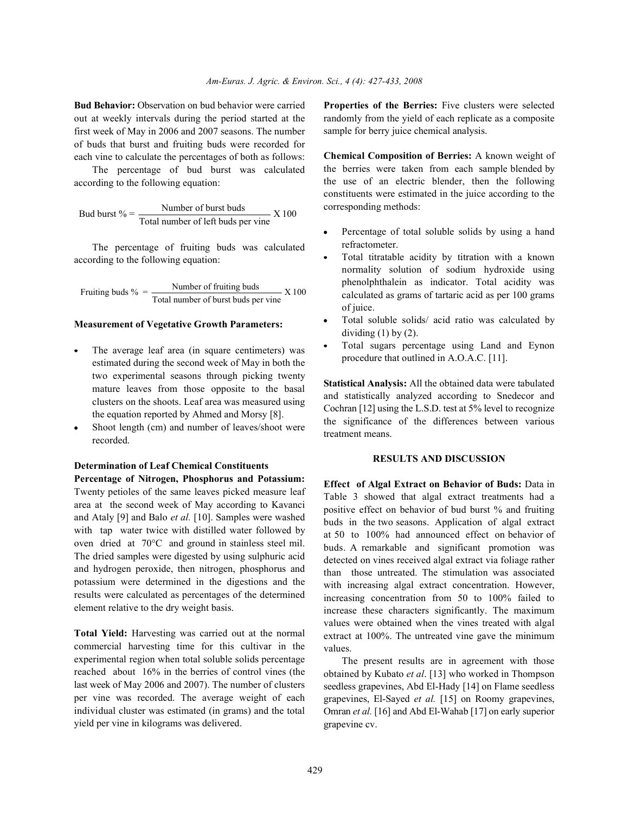**Bud Behavior:** Observation on bud behavior were carried **Properties of the Berries:** Five clusters were selected out at weekly intervals during the period started at the first week of May in 2006 and 2007 seasons. The number of buds that burst and fruiting buds were recorded for each vine to calculate the percentages of both as follows:

The percentage of bud burst was calculated according to the following equation:

But burst 
$$
\% = \frac{\text{Number of burst buds}}{\text{Total number of left buds per vine}} \times 100
$$

The percentage of fruiting buds was calculated according to the following equation:

Fruiting buds  $\% = \frac{\text{Number of fruiting buds}}{\text{Total number of burst buds per vine}} \times 100$ 

### **Measurement of Vegetative Growth Parameters:**

- The average leaf area (in square centimeters) was estimated during the second week of May in both the two experimental seasons through picking twenty mature leaves from those opposite to the basal clusters on the shoots. Leaf area was measured using the equation reported by Ahmed and Morsy [8].
- Shoot length (cm) and number of leaves/shoot were recorded.

## **Determination of Leaf Chemical Constituents**

**Percentage of Nitrogen, Phosphorus and Potassium:** Twenty petioles of the same leaves picked measure leaf area at the second week of May according to Kavanci and Ataly [9] and Balo *et al.* [10]. Samples were washed with tap water twice with distilled water followed by oven dried at 70°C and ground in stainless steel mil. The dried samples were digested by using sulphuric acid and hydrogen peroxide, then nitrogen, phosphorus and potassium were determined in the digestions and the results were calculated as percentages of the determined element relative to the dry weight basis.

**Total Yield:** Harvesting was carried out at the normal commercial harvesting time for this cultivar in the experimental region when total soluble solids percentage reached about 16% in the berries of control vines (the last week of May 2006 and 2007). The number of clusters per vine was recorded. The average weight of each individual cluster was estimated (in grams) and the total yield per vine in kilograms was delivered.

randomly from the yield of each replicate as a composite sample for berry juice chemical analysis.

**Chemical Composition of Berries:** A known weight of the berries were taken from each sample blended by the use of an electric blender, then the following constituents were estimated in the juice according to the corresponding methods:

- Percentage of total soluble solids by using a hand refractometer.
- Total titratable acidity by titration with a known normality solution of sodium hydroxide using phenolphthalein as indicator. Total acidity was calculated as grams of tartaric acid as per 100 grams of juice.
- Total soluble solids/ acid ratio was calculated by dividing  $(1)$  by  $(2)$ .
- Total sugars percentage using Land and Eynon procedure that outlined in A.O.A.C. [11].

**Statistical Analysis:** All the obtained data were tabulated and statistically analyzed according to Snedecor and Cochran [12] using the L.S.D. test at 5% level to recognize the significance of the differences between various treatment means.

### **RESULTS AND DISCUSSION**

**Effect of Algal Extract on Behavior of Buds:** Data in Table 3 showed that algal extract treatments had a positive effect on behavior of bud burst % and fruiting buds in the two seasons. Application of algal extract at 50 to 100% had announced effect on behavior of buds. A remarkable and significant promotion was detected on vines received algal extract via foliage rather than those untreated. The stimulation was associated with increasing algal extract concentration. However, increasing concentration from 50 to 100% failed to increase these characters significantly. The maximum values were obtained when the vines treated with algal extract at 100%. The untreated vine gave the minimum values.

The present results are in agreement with those obtained by Kubato *et al*. [13] who worked in Thompson seedless grapevines, Abd El-Hady [14] on Flame seedless grapevines, El-Sayed *et al.* [15] on Roomy grapevines, Omran *et al.* [16] and Abd El-Wahab [17] on early superior grapevine cv.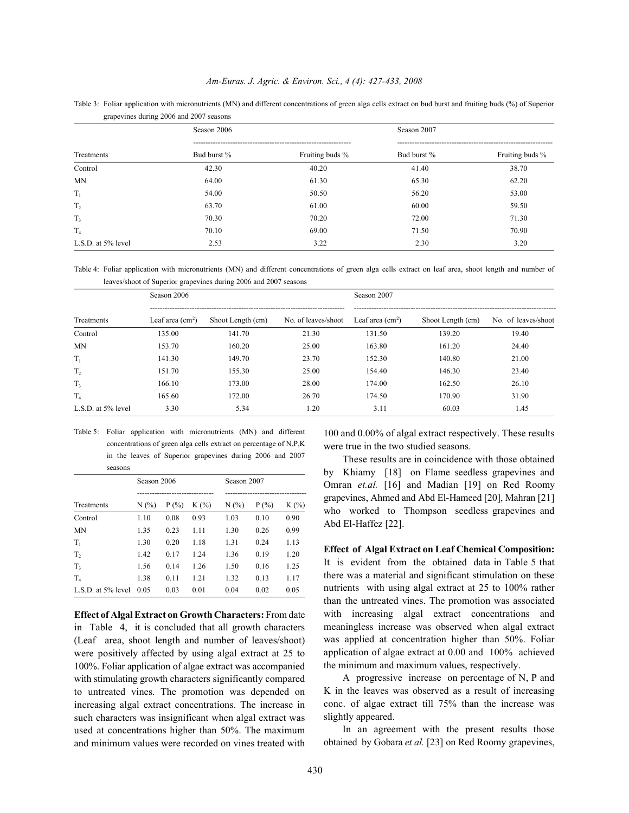| grapevines during 2006 and 2007 seasons |             |                 |             |                 |  |  |  |
|-----------------------------------------|-------------|-----------------|-------------|-----------------|--|--|--|
|                                         | Season 2006 |                 | Season 2007 |                 |  |  |  |
| Treatments                              | Bud burst % | Fruiting buds % | Bud burst % | Fruiting buds % |  |  |  |
| Control                                 | 42.30       | 40.20           | 41.40       | 38.70           |  |  |  |
| <b>MN</b>                               | 64.00       | 61.30           | 65.30       | 62.20           |  |  |  |
| $T_1$                                   | 54.00       | 50.50           | 56.20       | 53.00           |  |  |  |
| T <sub>2</sub>                          | 63.70       | 61.00           | 60.00       | 59.50           |  |  |  |
| $T_3$                                   | 70.30       | 70.20           | 72.00       | 71.30           |  |  |  |
| T <sub>4</sub>                          | 70.10       | 69.00           | 71.50       | 70.90           |  |  |  |
| L.S.D. at 5% level                      | 2.53        | 3.22            | 2.30        | 3.20            |  |  |  |

Table 3: Foliar application with micronutrients (MN) and different concentrations of green alga cells extract on bud burst and fruiting buds (%) of Superior

Table 4: Foliar application with micronutrients (MN) and different concentrations of green alga cells extract on leaf area, shoot length and number of leaves/shoot of Superior grapevines during 2006 and 2007 seasons

| Treatments         | Season 2006       |                   |                     | Season 2007       |                   |                     |
|--------------------|-------------------|-------------------|---------------------|-------------------|-------------------|---------------------|
|                    | Leaf area $(cm2)$ | Shoot Length (cm) | No. of leaves/shoot | Leaf area $(cm2)$ | Shoot Length (cm) | No. of leaves/shoot |
| Control            | 135.00            | 141.70            | 21.30               | 131.50            | 139.20            | 19.40               |
| <b>MN</b>          | 153.70            | 160.20            | 25.00               | 163.80            | 161.20            | 24.40               |
| $T_1$              | 141.30            | 149.70            | 23.70               | 152.30            | 140.80            | 21.00               |
| T <sub>2</sub>     | 151.70            | 155.30            | 25.00               | 154.40            | 146.30            | 23.40               |
| $T_{3}$            | 166.10            | 173.00            | 28.00               | 174.00            | 162.50            | 26.10               |
| T <sub>4</sub>     | 165.60            | 172.00            | 26.70               | 174.50            | 170.90            | 31.90               |
| L.S.D. at 5% level | 3.30              | 5.34              | 1.20                | 3.11              | 60.03             | 1.45                |

Table 5: Foliar application with micronutrients (MN) and different concentrations of green alga cells extract on percentage of N,P,K in the leaves of Superior grapevines during 2006 and 2007 seasons

|                    | Season 2006 |          |         |         | Season 2007 |         |  |  |
|--------------------|-------------|----------|---------|---------|-------------|---------|--|--|
| Treatments         | N(%         | $P(\% )$ | $K(\%)$ | $N(\%)$ | $P(\%)$     | $K(\%)$ |  |  |
| Control            | 1.10        | 0.08     | 0.93    | 1.03    | 0.10        | 0.90    |  |  |
| <b>MN</b>          | 1.35        | 0.23     | 1.11    | 1.30    | 0.26        | 0.99    |  |  |
| $T_1$              | 1.30        | 0.20     | 1.18    | 1.31    | 0.24        | 1.13    |  |  |
| T <sub>2</sub>     | 1.42        | 0.17     | 1.24    | 1.36    | 0.19        | 1.20    |  |  |
| $T_{3}$            | 1.56        | 0.14     | 1.26    | 1.50    | 0.16        | 1.25    |  |  |
| $T_4$              | 1.38        | 0.11     | 1.21    | 1.32    | 0.13        | 1.17    |  |  |
| L.S.D. at 5% level | 0.05        | 0.03     | 0.01    | 0.04    | 0.02        | 0.05    |  |  |

**Effect of Algal Extract on Growth Characters:** From date in Table 4, it is concluded that all growth characters (Leaf area, shoot length and number of leaves/shoot) were positively affected by using algal extract at 25 to 100%. Foliar application of algae extract was accompanied with stimulating growth characters significantly compared to untreated vines. The promotion was depended on increasing algal extract concentrations. The increase in such characters was insignificant when algal extract was used at concentrations higher than 50%. The maximum and minimum values were recorded on vines treated with

100 and 0.00% of algal extract respectively. These results were true in the two studied seasons.

These results are in coincidence with those obtained by Khiamy [18] on Flame seedless grapevines and Omran *et.al.* [16] and Madian [19] on Red Roomy grapevines, Ahmed and Abd El-Hameed [20], Mahran [21] who worked to Thompson seedless grapevines and Abd El-Haffez [22].

**Effect of Algal Extract on Leaf Chemical Composition:** It is evident from the obtained data in Table 5 that there was a material and significant stimulation on these nutrients with using algal extract at 25 to 100% rather than the untreated vines. The promotion was associated with increasing algal extract concentrations and meaningless increase was observed when algal extract was applied at concentration higher than 50%. Foliar application of algae extract at 0.00 and 100% achieved the minimum and maximum values, respectively.

A progressive increase on percentage of N, P and K in the leaves was observed as a result of increasing conc. of algae extract till 75% than the increase was slightly appeared.

In an agreement with the present results those obtained by Gobara *et al.* [23] on Red Roomy grapevines,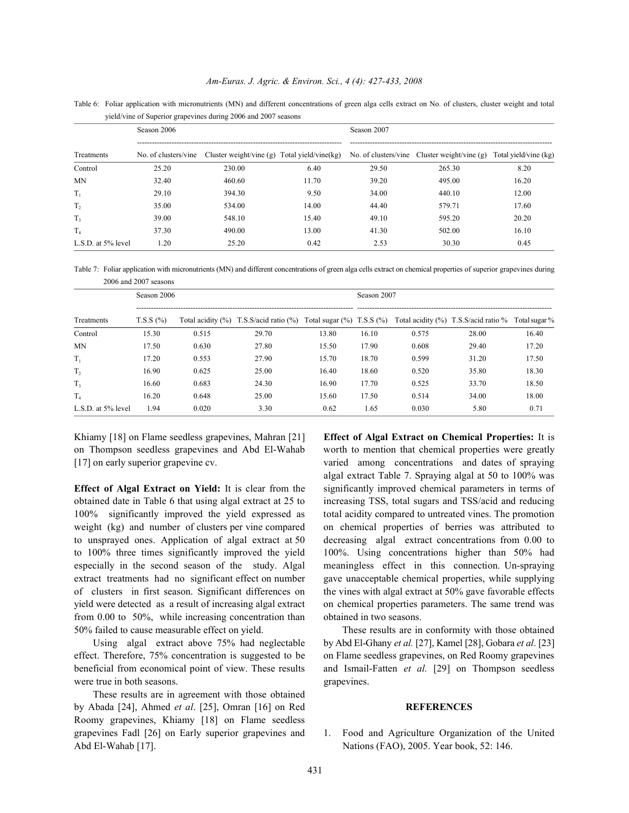Table 6: Foliar application with micronutrients (MN) and different concentrations of green alga cells extract on No. of clusters, cluster weight and total yield/vine of Superior grapevines during 2006 and 2007 seasons

|                    | Season 2006 |                                                                        |       | Season 2007 |                                                                    |       |  |  |
|--------------------|-------------|------------------------------------------------------------------------|-------|-------------|--------------------------------------------------------------------|-------|--|--|
| Treatments         |             | No. of clusters/vine Cluster weight/vine (g) Total yield/vine $\log$ ) |       |             | No. of clusters/vine Cluster weight/vine (g) Total yield/vine (kg) |       |  |  |
| Control            | 25.20       | 230.00                                                                 | 6.40  | 29.50       | 265.30                                                             | 8.20  |  |  |
| MN                 | 32.40       | 460.60                                                                 | 11.70 | 39.20       | 495.00                                                             | 16.20 |  |  |
| $T_1$              | 29.10       | 394.30                                                                 | 9.50  | 34.00       | 440.10                                                             | 12.00 |  |  |
| $T_{2}$            | 35.00       | 534.00                                                                 | 14.00 | 44.40       | 579.71                                                             | 17.60 |  |  |
| T <sub>3</sub>     | 39.00       | 548.10                                                                 | 15.40 | 49.10       | 595.20                                                             | 20.20 |  |  |
| $T_4$              | 37.30       | 490.00                                                                 | 13.00 | 41.30       | 502.00                                                             | 16.10 |  |  |
| L.S.D. at 5% level | 1.20        | 25.20                                                                  | 0.42  | 2.53        | 30.30                                                              | 0.45  |  |  |

Table 7: Foliar application with micronutrients (MN) and different concentrations of green alga cells extract on chemical properties of superior grapevines during 2006 and 2007 seasons

| Treatments         | Season 2006      |       |                                                                              |       | Season 2007 |       |                                            |               |  |
|--------------------|------------------|-------|------------------------------------------------------------------------------|-------|-------------|-------|--------------------------------------------|---------------|--|
|                    | $T.S.S.$ $(\% )$ |       | Total acidity $(\%)$ T.S.S/acid ratio $(\%)$ Total sugar $(\%)$ T.S.S $(\%)$ |       |             |       | Total acidity $(\%)$ T.S.S/acid ratio $\%$ | Total sugar % |  |
| Control            | 15.30            | 0.515 | 29.70                                                                        | 13.80 | 16.10       | 0.575 | 28.00                                      | 16.40         |  |
| <b>MN</b>          | 17.50            | 0.630 | 27.80                                                                        | 15.50 | 17.90       | 0.608 | 29.40                                      | 17.20         |  |
| $T_1$              | 17.20            | 0.553 | 27.90                                                                        | 15.70 | 18.70       | 0.599 | 31.20                                      | 17.50         |  |
| $T_{2}$            | 16.90            | 0.625 | 25.00                                                                        | 16.40 | 18.60       | 0.520 | 35.80                                      | 18.30         |  |
| $T_{3}$            | 16.60            | 0.683 | 24.30                                                                        | 16.90 | 17.70       | 0.525 | 33.70                                      | 18.50         |  |
| $T_4$              | 16.20            | 0.648 | 25.00                                                                        | 15.60 | 17.50       | 0.514 | 34.00                                      | 18.00         |  |
| L.S.D. at 5% level | 1.94             | 0.020 | 3.30                                                                         | 0.62  | 1.65        | 0.030 | 5.80                                       | 0.71          |  |

Khiamy [18] on Flame seedless grapevines, Mahran [21] **Effect of Algal Extract on Chemical Properties:** It is

**Effect of Algal Extract on Yield:** It is clear from the significantly improved chemical parameters in terms of obtained date in Table 6 that using algal extract at 25 to increasing TSS, total sugars and TSS/acid and reducing 100% significantly improved the yield expressed as total acidity compared to untreated vines. The promotion weight (kg) and number of clusters per vine compared on chemical properties of berries was attributed to to unsprayed ones. Application of algal extract at 50 decreasing algal extract concentrations from 0.00 to to 100% three times significantly improved the yield 100%. Using concentrations higher than 50% had especially in the second season of the study. Algal meaningless effect in this connection. Un-spraying extract treatments had no significant effect on number gave unacceptable chemical properties, while supplying of clusters in first season. Significant differences on the vines with algal extract at 50% gave favorable effects yield were detected as a result of increasing algal extract on chemical properties parameters. The same trend was from 0.00 to 50%, while increasing concentration than obtained in two seasons. 50% failed to cause measurable effect on yield. These results are in conformity with those obtained

effect. Therefore, 75% concentration is suggested to be on Flame seedless grapevines, on Red Roomy grapevines beneficial from economical point of view. These results and Ismail-Fatten *et al.* [29] on Thompson seedless were true in both seasons.  $\qquad \qquad$  grapevines.

These results are in agreement with those obtained by Abada [24], Ahmed *et al*. [25], Omran [16] on Red **REFERENCES** Roomy grapevines, Khiamy [18] on Flame seedless grapevines Fadl [26] on Early superior grapevines and 1. Food and Agriculture Organization of the United Abd El-Wahab [17]. Nations (FAO), 2005. Year book, 52: 146.

on Thompson seedless grapevines and Abd El-Wahab worth to mention that chemical properties were greatly [17] on early superior grapevine cv. varied among concentrations and dates of spraying algal extract Table 7. Spraying algal at 50 to 100% was

Using algal extract above 75% had neglectable by Abd El-Ghany *et al.* [27], Kamel [28], Gobara *et al*. [23]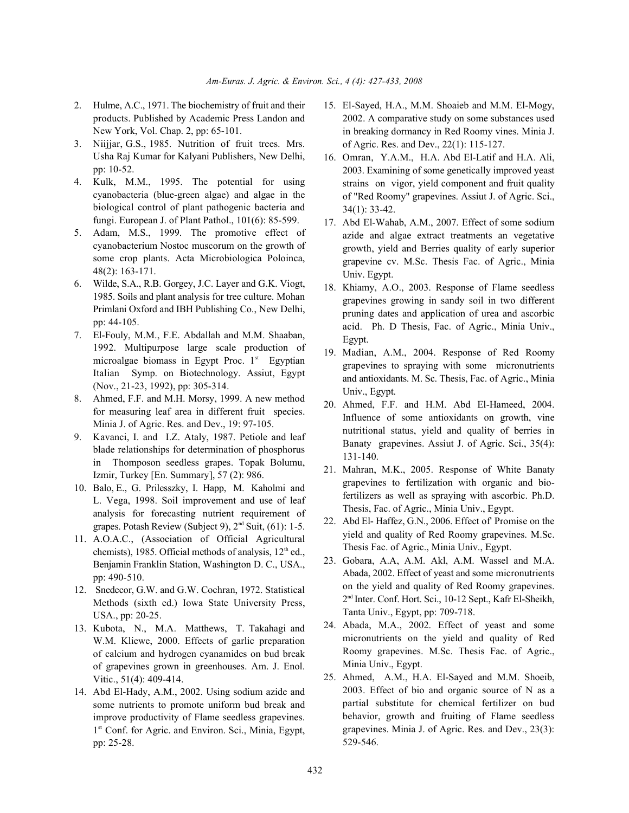- products. Published by Academic Press Landon and New York, Vol. Chap. 2, pp: 65-101.
- 3. Niijjar, G.S., 1985. Nutrition of fruit trees. Mrs. Usha Raj Kumar for Kalyani Publishers, New Delhi, pp: 10-52.
- 4. Kulk, M.M., 1995. The potential for using cyanobacteria (blue-green algae) and algae in the biological control of plant pathogenic bacteria and fungi. European J. of Plant Pathol., 101(6): 85-599.
- 5. Adam, M.S., 1999. The promotive effect of cyanobacterium Nostoc muscorum on the growth of some crop plants. Acta Microbiologica Poloinca, 48(2): 163-171.
- 6. Wilde, S.A., R.B. Gorgey, J.C. Layer and G.K. Viogt, 1985. Soils and plant analysis for tree culture. Mohan Primlani Oxford and IBH Publishing Co., New Delhi, pp: 44-105.
- 7. El-Fouly, M.M., F.E. Abdallah and M.M. Shaaban, 1992. Multipurpose large scale production of microalgae biomass in Egypt Proc.  $1<sup>st</sup>$  Egyptian Italian Symp. on Biotechnology. Assiut, Egypt (Nov., 21-23, 1992), pp: 305-314.
- 8. Ahmed, F.F. and M.H. Morsy, 1999. A new method for measuring leaf area in different fruit species. Minia J. of Agric. Res. and Dev., 19: 97-105.
- 9. Kavanci, I. and I.Z. Ataly, 1987. Petiole and leaf blade relationships for determination of phosphorus in Thomposon seedless grapes. Topak Bolumu, Izmir, Turkey [En. Summary], 57 (2): 986.
- 10. Balo, E., G. Prilesszky, I. Happ, M. Kaholmi and L. Vega, 1998. Soil improvement and use of leaf analysis for forecasting nutrient requirement of grapes. Potash Review (Subject 9),  $2<sup>nd</sup>$  Suit, (61): 1-5.
- 11. A.O.A.C., (Association of Official Agricultural chemists), 1985. Official methods of analysis,  $12<sup>th</sup>$  ed., Benjamin Franklin Station, Washington D. C., USA., pp: 490-510.
- 12. Snedecor, G.W. and G.W. Cochran, 1972. Statistical Methods (sixth ed.) Iowa State University Press, USA., pp: 20-25.
- 13. Kubota, N., M.A. Matthews, T. Takahagi and W.M. Kliewe, 2000. Effects of garlic preparation of calcium and hydrogen cyanamides on bud break of grapevines grown in greenhouses. Am. J. Enol. Vitic., 51(4): 409-414.
- 14. Abd El-Hady, A.M., 2002. Using sodium azide and some nutrients to promote uniform bud break and improve productivity of Flame seedless grapevines.  $1<sup>st</sup>$  Conf. for Agric. and Environ. Sci., Minia, Egypt, pp: 25-28.
- 2. Hulme, A.C., 1971. The biochemistry of fruit and their 15. El-Sayed, H.A., M.M. Shoaieb and M.M. El-Mogy, 2002. A comparative study on some substances used in breaking dormancy in Red Roomy vines. Minia J. of Agric. Res. and Dev., 22(1): 115-127.
	- 16. Omran, Y.A.M., H.A. Abd El-Latif and H.A. Ali, 2003. Examining of some genetically improved yeast strains on vigor, yield component and fruit quality of "Red Roomy" grapevines. Assiut J. of Agric. Sci., 34(1): 33-42.
	- 17. Abd El-Wahab, A.M., 2007. Effect of some sodium azide and algae extract treatments an vegetative growth, yield and Berries quality of early superior grapevine cv. M.Sc. Thesis Fac. of Agric., Minia Univ. Egypt.
	- 18. Khiamy, A.O., 2003. Response of Flame seedless grapevines growing in sandy soil in two different pruning dates and application of urea and ascorbic acid. Ph. D Thesis, Fac. of Agric., Minia Univ., Egypt.
	- 19. Madian, A.M., 2004. Response of Red Roomy grapevines to spraying with some micronutrients and antioxidants. M. Sc. Thesis, Fac. of Agric., Minia Univ., Egypt.
	- 20. Ahmed, F.F. and H.M. Abd El-Hameed, 2004. Influence of some antioxidants on growth, vine nutritional status, yield and quality of berries in Banaty grapevines. Assiut J. of Agric. Sci., 35(4): 131-140.
	- 21. Mahran, M.K., 2005. Response of White Banaty grapevines to fertilization with organic and biofertilizers as well as spraying with ascorbic. Ph.D. Thesis, Fac. of Agric., Minia Univ., Egypt.
	- 22. Abd El- Haffez, G.N., 2006. Effect of' Promise on the yield and quality of Red Roomy grapevines. M.Sc. Thesis Fac. of Agric., Minia Univ., Egypt.
	- 23. Gobara, A.A, A.M. Akl, A.M. Wassel and M.A. Abada, 2002. Effect of yeast and some micronutrients on the yield and quality of Red Roomy grapevines.  $2<sup>nd</sup>$  Inter. Conf. Hort. Sci., 10-12 Sept., Kafr El-Sheikh, Tanta Univ., Egypt, pp: 709-718.
	- 24. Abada, M.A., 2002. Effect of yeast and some micronutrients on the yield and quality of Red Roomy grapevines. M.Sc. Thesis Fac. of Agric., Minia Univ., Egypt.
	- 25. Ahmed, A.M., H.A. El-Sayed and M.M. Shoeib, 2003. Effect of bio and organic source of N as a partial substitute for chemical fertilizer on bud behavior, growth and fruiting of Flame seedless grapevines. Minia J. of Agric. Res. and Dev., 23(3): 529-546.